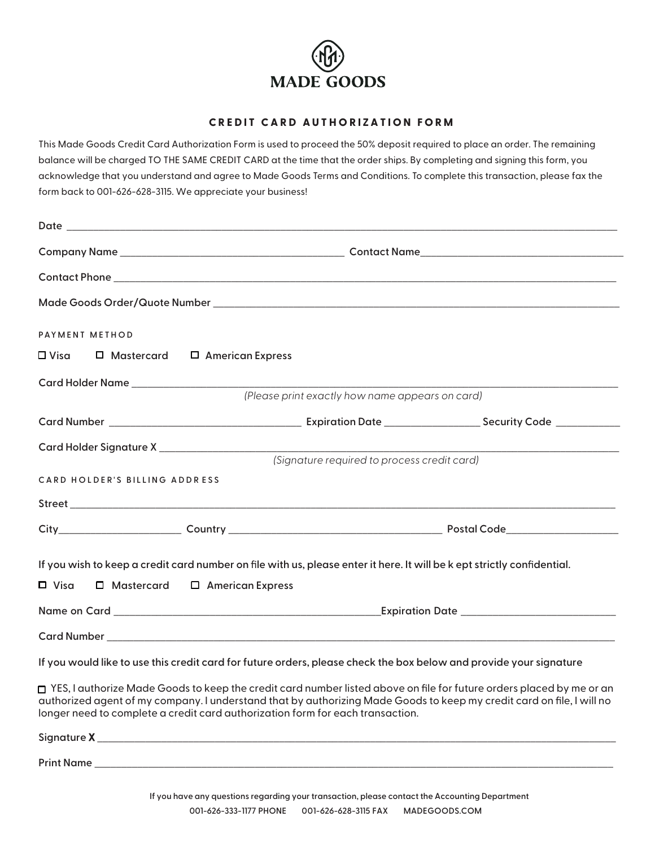

## **CREDIT CARD AUTHORIZATION FORM**

This Made Goods Credit Card Authorization Form is used to proceed the 50% deposit required to place an order. The remaining balance will be charged TO THE SAME CREDIT CARD at the time that the order ships. By completing and signing this form, you acknowledge that you understand and agree to Made Goods Terms and Conditions. To complete this transaction, please fax the form back to 001-626-628-3115. We appreciate your business!

| PAYMENT METHOD                                                                                                         |                         |                                                                                                                                                                                                                                                 |                                                  |  |
|------------------------------------------------------------------------------------------------------------------------|-------------------------|-------------------------------------------------------------------------------------------------------------------------------------------------------------------------------------------------------------------------------------------------|--------------------------------------------------|--|
| $\Box$ Mastercard<br>□ Visa                                                                                            | $\Box$ American Express |                                                                                                                                                                                                                                                 |                                                  |  |
|                                                                                                                        |                         |                                                                                                                                                                                                                                                 |                                                  |  |
| (Please print exactly how name appears on card)                                                                        |                         |                                                                                                                                                                                                                                                 |                                                  |  |
|                                                                                                                        |                         |                                                                                                                                                                                                                                                 |                                                  |  |
| Card Holder Signature X ____________________                                                                           |                         |                                                                                                                                                                                                                                                 |                                                  |  |
|                                                                                                                        |                         | (Signature required to process credit card)                                                                                                                                                                                                     |                                                  |  |
| CARD HOLDER'S BILLING ADDRESS                                                                                          |                         |                                                                                                                                                                                                                                                 |                                                  |  |
|                                                                                                                        |                         |                                                                                                                                                                                                                                                 |                                                  |  |
|                                                                                                                        |                         |                                                                                                                                                                                                                                                 |                                                  |  |
| If you wish to keep a credit card number on file with us, please enter it here. It will be kept strictly confidential. |                         |                                                                                                                                                                                                                                                 |                                                  |  |
| $\Box$ Visa<br>□ Mastercard                                                                                            | $\Box$ American Express |                                                                                                                                                                                                                                                 |                                                  |  |
|                                                                                                                        |                         |                                                                                                                                                                                                                                                 | Expiration Date ________________________________ |  |
|                                                                                                                        |                         |                                                                                                                                                                                                                                                 |                                                  |  |
|                                                                                                                        |                         | If you would like to use this credit card for future orders, please check the box below and provide your signature                                                                                                                              |                                                  |  |
| longer need to complete a credit card authorization form for each transaction.                                         |                         | □ YES, I authorize Made Goods to keep the credit card number listed above on file for future orders placed by me or an<br>authorized agent of my company. I understand that by authorizing Made Goods to keep my credit card on file, I will no |                                                  |  |

| Signature X |  |
|-------------|--|
|             |  |
| Print Name  |  |
|             |  |